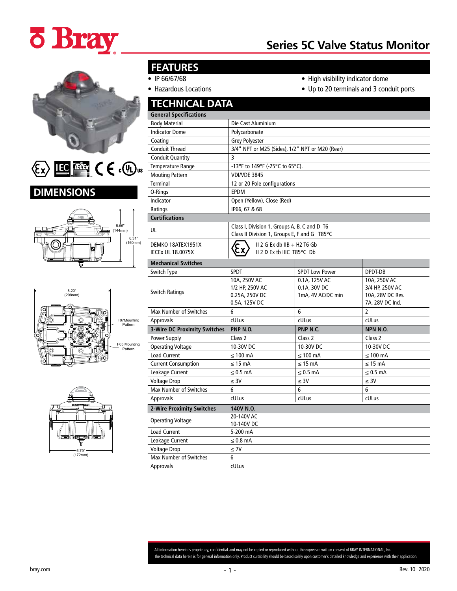# **ö Bray**

## **Series 5C Valve Status Monitor**



LEC These  $C \in C$   $\mathbb{Q}_n$  $\langle \! \! \! \! \! \langle \xi_{\mathsf{X}} \rangle \! \! \! \! \! \rangle$ 









### **FEATURES**

- IP 66/67/68
- Hazardous Locations
- High visibility indicator dome
- Up to 20 terminals and 3 conduit ports

| <b>TECHNICAL DATA</b>                         |                                                                                              |                                                    |                                                                        |  |  |  |  |
|-----------------------------------------------|----------------------------------------------------------------------------------------------|----------------------------------------------------|------------------------------------------------------------------------|--|--|--|--|
| <b>General Specifications</b>                 |                                                                                              |                                                    |                                                                        |  |  |  |  |
| <b>Body Material</b>                          | Die Cast Aluminium                                                                           |                                                    |                                                                        |  |  |  |  |
| <b>Indicator Dome</b>                         | Polycarbonate                                                                                |                                                    |                                                                        |  |  |  |  |
| Coating                                       | <b>Grey Polyester</b>                                                                        |                                                    |                                                                        |  |  |  |  |
| <b>Conduit Thread</b>                         | 3/4" NPT or M25 (Sides), 1/2" NPT or M20 (Rear)                                              |                                                    |                                                                        |  |  |  |  |
| <b>Conduit Quantity</b>                       | 3                                                                                            |                                                    |                                                                        |  |  |  |  |
| Temperature Range                             | -13°F to 149°F (-25°C to 65°C).                                                              |                                                    |                                                                        |  |  |  |  |
| <b>Mouting Pattern</b>                        | VDI/VDE 3845                                                                                 |                                                    |                                                                        |  |  |  |  |
| <b>Terminal</b>                               | 12 or 20 Pole configurations                                                                 |                                                    |                                                                        |  |  |  |  |
| O-Rings                                       | <b>EPDM</b>                                                                                  |                                                    |                                                                        |  |  |  |  |
| Indicator                                     | Open (Yellow), Close (Red)                                                                   |                                                    |                                                                        |  |  |  |  |
| Ratings                                       | IP66, 67 & 68                                                                                |                                                    |                                                                        |  |  |  |  |
| <b>Certifications</b>                         |                                                                                              |                                                    |                                                                        |  |  |  |  |
| UL                                            | Class I, Division 1, Groups A, B, C and D T6<br>Class II Division 1, Groups E, F and G T85°C |                                                    |                                                                        |  |  |  |  |
| DEMKO 18ATEX1951X<br><b>IECEX UL 18.0075X</b> | $II$ 2 G Ex db $IB$ + H2 T6 Gb<br>ξχ<br>II 2 D Ex tb IIIC T85°C Db                           |                                                    |                                                                        |  |  |  |  |
| <b>Mechanical Switches</b>                    |                                                                                              |                                                    |                                                                        |  |  |  |  |
| Switch Type                                   | <b>SPDT</b>                                                                                  | <b>SPDT Low Power</b>                              | DPDT-DB                                                                |  |  |  |  |
| <b>Switch Ratings</b>                         | 10A, 250V AC<br>1/2 HP, 250V AC<br>0.25A, 250V DC<br>0.5A, 125V DC                           | 0.1A, 125V AC<br>0.1A, 30V DC<br>1mA, 4V AC/DC min | 10A, 250V AC<br>3/4 HP, 250V AC<br>10A, 28V DC Res.<br>7A, 28V DC Ind. |  |  |  |  |
| <b>Max Number of Switches</b>                 | 6                                                                                            | 6                                                  | $\overline{2}$                                                         |  |  |  |  |
| <b>Approvals</b>                              | cULus                                                                                        | cULus                                              | cULus                                                                  |  |  |  |  |
| <b>3-Wire DC Proximity Switches</b>           | <b>PNP N.O.</b>                                                                              | PNP N.C.                                           | <b>NPN N.O.</b>                                                        |  |  |  |  |
| Power Supply                                  | Class <sub>2</sub>                                                                           | Class 2                                            | Class <sub>2</sub>                                                     |  |  |  |  |
| <b>Operating Voltage</b>                      | 10-30V DC                                                                                    | 10-30V DC                                          | 10-30V DC                                                              |  |  |  |  |
| <b>Load Current</b>                           | $\leq 100$ mA                                                                                | $\leq 100$ mA                                      | $\leq 100$ mA                                                          |  |  |  |  |
| <b>Current Consumption</b>                    | $\leq$ 15 mA                                                                                 | $\leq$ 15 mA                                       | $\leq$ 15 mA                                                           |  |  |  |  |
| Leakage Current                               | $\leq 0.5$ mA                                                                                | $\leq 0.5$ mA                                      | $\leq 0.5$ mA                                                          |  |  |  |  |
| <b>Voltage Drop</b>                           | $\leq 3V$                                                                                    | $\leq 3V$                                          | $\leq 30$                                                              |  |  |  |  |
| <b>Max Number of Switches</b>                 | 6                                                                                            | 6                                                  | 6                                                                      |  |  |  |  |
| Approvals                                     | cULus                                                                                        | cULus                                              | cULus                                                                  |  |  |  |  |
| <b>2-Wire Proximity Switches</b>              | 140V N.O.                                                                                    |                                                    |                                                                        |  |  |  |  |
| <b>Operating Voltage</b>                      | 20-140V AC<br>10-140V DC                                                                     |                                                    |                                                                        |  |  |  |  |
| <b>Load Current</b>                           | 5-200 mA                                                                                     |                                                    |                                                                        |  |  |  |  |
| Leakage Current                               | $\leq 0.8$ mA                                                                                |                                                    |                                                                        |  |  |  |  |
| <b>Voltage Drop</b>                           | $\leq 7V$                                                                                    |                                                    |                                                                        |  |  |  |  |
| Max Number of Switches                        | 6                                                                                            |                                                    |                                                                        |  |  |  |  |
| <b>Approvals</b>                              | cULus                                                                                        |                                                    |                                                                        |  |  |  |  |

All information herein is proprietary, confidential, and may not be copied or reproduced without the expressed written consent of BRAY INTERNATIONAL, Inc. The technical data herein is for general information only. Product suitability should be based solely upon customer's detailed knowledge and experience with their application.